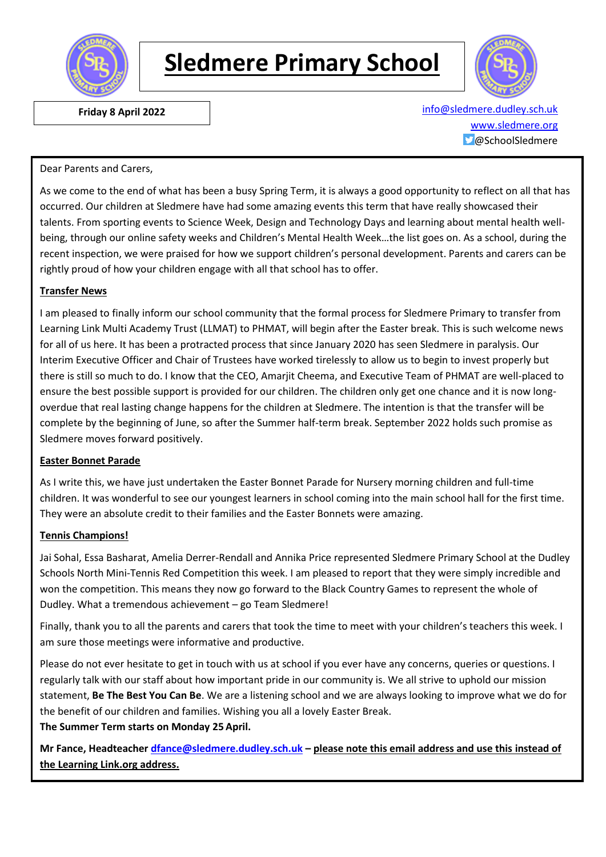

# **Sledmere Primary School**



 **Friday 8 April 2022** [info@sledmere.dudley.sch.uk](mailto:info@sledmere.dudley.sch.uk) [www.sledmere.org](http://www.sledmere.org/) @SchoolSledmere

#### Dear Parents and Carers,

As we come to the end of what has been a busy Spring Term, it is always a good opportunity to reflect on all that has occurred. Our children at Sledmere have had some amazing events this term that have really showcased their talents. From sporting events to Science Week, Design and Technology Days and learning about mental health wellbeing, through our online safety weeks and Children's Mental Health Week…the list goes on. As a school, during the recent inspection, we were praised for how we support children's personal development. Parents and carers can be rightly proud of how your children engage with all that school has to offer.

#### **Transfer News**

I am pleased to finally inform our school community that the formal process for Sledmere Primary to transfer from Learning Link Multi Academy Trust (LLMAT) to PHMAT, will begin after the Easter break. This is such welcome news for all of us here. It has been a protracted process that since January 2020 has seen Sledmere in paralysis. Our Interim Executive Officer and Chair of Trustees have worked tirelessly to allow us to begin to invest properly but there is still so much to do. I know that the CEO, Amarjit Cheema, and Executive Team of PHMAT are well-placed to ensure the best possible support is provided for our children. The children only get one chance and it is now longoverdue that real lasting change happens for the children at Sledmere. The intention is that the transfer will be complete by the beginning of June, so after the Summer half-term break. September 2022 holds such promise as Sledmere moves forward positively.

#### **Easter Bonnet Parade**

As I write this, we have just undertaken the Easter Bonnet Parade for Nursery morning children and full-time children. It was wonderful to see our youngest learners in school coming into the main school hall for the first time. They were an absolute credit to their families and the Easter Bonnets were amazing.

#### **Tennis Champions!**

Jai Sohal, Essa Basharat, Amelia Derrer-Rendall and Annika Price represented Sledmere Primary School at the Dudley Schools North Mini-Tennis Red Competition this week. I am pleased to report that they were simply incredible and won the competition. This means they now go forward to the Black Country Games to represent the whole of Dudley. What a tremendous achievement – go Team Sledmere!

Finally, thank you to all the parents and carers that took the time to meet with your children's teachers this week. I am sure those meetings were informative and productive.

Please do not ever hesitate to get in touch with us at school if you ever have any concerns, queries or questions. I regularly talk with our staff about how important pride in our community is. We all strive to uphold our mission statement, **Be The Best You Can Be**. We are a listening school and we are always looking to improve what we do for the benefit of our children and families. Wishing you all a lovely Easter Break. **The Summer Term starts on Monday 25 April.**

**Mr Fance, Headteacher [dfance@sledmere.dudley.sch.uk](mailto:dfance@sledmere.dudley.sch.uk) – please note this email address and use this instead of the Learning Link.org address.**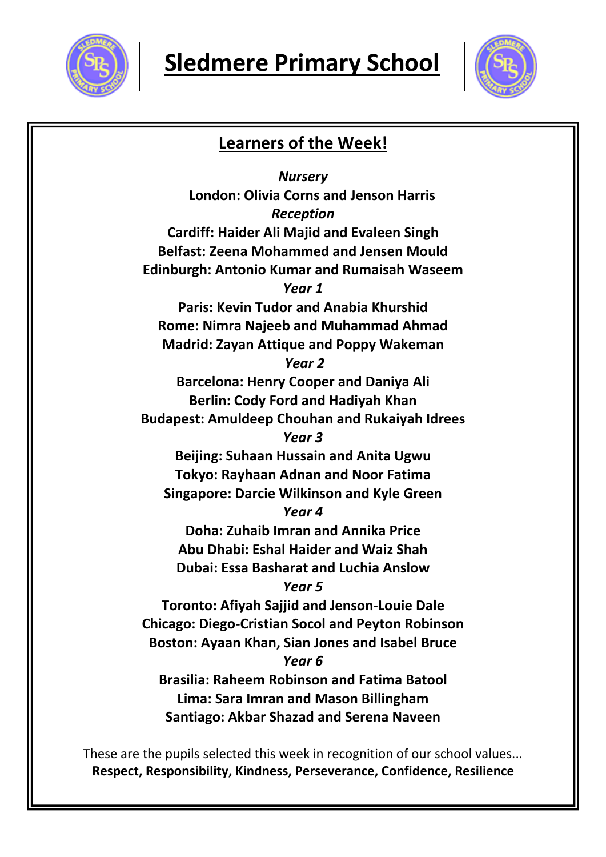



## **Learners of the Week!** *Nursery* **London: Olivia Corns and Jenson Harris** *Reception* **Cardiff: Haider Ali Majid and Evaleen Singh Belfast: Zeena Mohammed and Jensen Mould Edinburgh: Antonio Kumar and Rumaisah Waseem** *Year 1* **Paris: Kevin Tudor and Anabia Khurshid Rome: Nimra Najeeb and Muhammad Ahmad Madrid: Zayan Attique and Poppy Wakeman** *Year 2* **Barcelona: Henry Cooper and Daniya Ali Berlin: Cody Ford and Hadiyah Khan Budapest: Amuldeep Chouhan and Rukaiyah Idrees** *Year 3* **Beijing: Suhaan Hussain and Anita Ugwu Tokyo: Rayhaan Adnan and Noor Fatima Singapore: Darcie Wilkinson and Kyle Green** *Year 4* **Doha: Zuhaib Imran and Annika Price Abu Dhabi: Eshal Haider and Waiz Shah Dubai: Essa Basharat and Luchia Anslow** *Year 5* **Toronto: Afiyah Sajjid and Jenson-Louie Dale Chicago: Diego-Cristian Socol and Peyton Robinson Boston: Ayaan Khan, Sian Jones and Isabel Bruce** *Year 6* **Brasilia: Raheem Robinson and Fatima Batool Lima: Sara Imran and Mason Billingham Santiago: Akbar Shazad and Serena Naveen**

These are the pupils selected this week in recognition of our school values... **Respect, Responsibility, Kindness, Perseverance, Confidence, Resilience**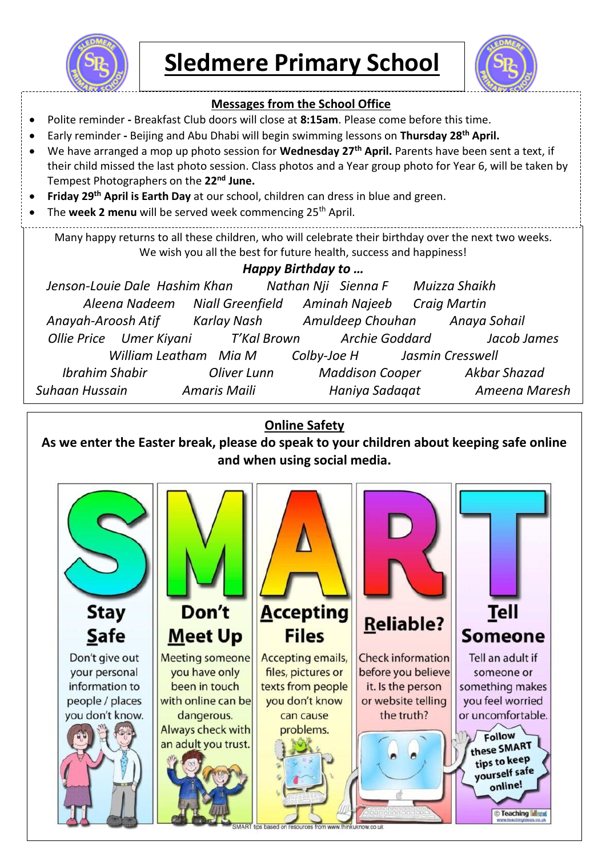

**Sledmere Primary School**



## **Messages from the School Office** Polite reminder **-** Breakfast Club doors will close at **8:15am**. Please come before this time. Early reminder **-** Beijing and Abu Dhabi will begin swimming lessons on **Thursday 28th April.** We have arranged a mop up photo session for **Wednesday 27th April.** Parents have been sent a text, if their child missed the last photo session. Class photos and a Year group photo for Year 6, will be taken by Tempest Photographers on the **22nd June. Friday 29th April is Earth Day** at our school, children can dress in blue and green. The **week 2 menu** will be served week commencing 25<sup>th</sup> April. Many happy returns to all these children, who will celebrate their birthday over the next two weeks. We wish you all the best for future health, success and happiness! *Happy Birthday to … Jenson-Louie Dale Hashim Khan Nathan Nji Sienna F Muizza Shaikh Aleena Nadeem Niall Greenfield Aminah Najeeb Craig Martin Anayah-Aroosh Atif Karlay Nash Amuldeep Chouhan Anaya Sohail Ollie Price Umer Kiyani T'Kal Brown Archie Goddard Jacob James William Leatham Mia M Colby-Joe H Jasmin Cresswell Ibrahim Shabir Oliver Lunn Maddison Cooper Akbar Shazad Suhaan Hussain Amaris Maili Haniya Sadaqat Ameena Maresh*

### **Online Safety**

**As we enter the Easter break, please do speak to your children about keeping safe online and when using social media.**